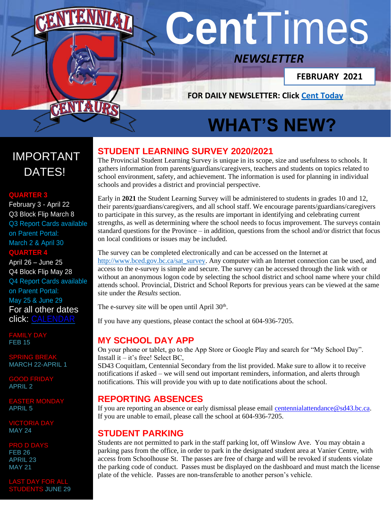# **Cent**Times

# *NEWSLETTER*

**FEBRUARY 2021**

**FOR DAILY NEWSLETTER: Click [Cent Today](http://www.sd43.bc.ca/school/centennial/Publication%20Documents/Pages/default.aspx)**

# **WHAT'S NEW?**

# IMPORTANT DATES!

## **QUARTER 3**

February 3 - April 22 Q3 Block Flip March 8 Q3 Report Cards available on Parent Portal: March 2 & April 30 **QUARTER 4**

April 26 – June 25 Q4 Block Flip May 28 Q4 Report Cards available on Parent Portal: May 25 & June 29 [For all other dates](http://www.sd43.bc.ca/school/centennial/Lists/Calendar/calendar.aspx)  [click:](http://www.sd43.bc.ca/school/centennial/Lists/Calendar/calendar.aspx) [CALENDAR](http://www.sd43.bc.ca/school/centennial/Lists/Calendar/calendar.aspx)

**MILY DAY FEB 15** 

SPRING BREAK MARCH 22-APRIL 1

GOOD FRIDAY APRIL 2

EASTER MONDAY APRIL 5

VICTORIA DAY MAY 24

O D DA FEB 26 APRIL 23 MAY 21

#### ST DAY FOR **STUDENTS JUNE 29**

# **STUDENT LEARNING SURVEY 2020/2021**

The Provincial Student Learning Survey is unique in its scope, size and usefulness to schools. It gathers information from parents/guardians/caregivers, teachers and students on topics related to school environment, safety, and achievement. The information is used for planning in individual schools and provides a district and provincial perspective.

Early in **2021** the Student Learning Survey will be administered to students in grades 10 and 12, their parents/guardians/caregivers, and all school staff. We encourage parents/guardians/caregivers to participate in this survey, as the results are important in identifying and celebrating current strengths, as well as determining where the school needs to focus improvement. The surveys contain standard questions for the Province – in addition, questions from the school and/or district that focus on local conditions or issues may be included.

The survey can be completed electronically and can be accessed on the Internet at [http://www.bced.gov.bc.ca/sat\\_survey.](http://www.bced.gov.bc.ca/sat_survey) Any computer with an Internet connection can be used, and access to the e-survey is simple and secure. The survey can be accessed through the link with or without an anonymous logon code by selecting the school district and school name where your child attends school. Provincial, District and School Reports for previous years can be viewed at the same site under the *Results* section.

The e-survey site will be open until April  $30<sup>th</sup>$ .

If you have any questions, please contact the school at 604-936-7205.

# **MY SCHOOL DAY APP**

On your phone or tablet, go to the App Store or Google Play and search for "My School Day". Install it  $-$  it's free! Select BC,

SD43 Coquitlam, Centennial Secondary from the list provided. Make sure to allow it to receive notifications if asked – we will send out important reminders, information, and alerts through notifications. This will provide you with up to date notifications about the school.

# **REPORTING ABSENCES**

If you are reporting an absence or early dismissal please email [centennialattendance@sd43.bc.ca.](mailto:centennialattendance@sd43.bc.ca) If you are unable to email, please call the school at 604-936-7205.

# **STUDENT PARKING**

Students are not permitted to park in the staff parking lot, off Winslow Ave. You may obtain a parking pass from the office, in order to park in the designated student area at Vanier Centre, with access from Schoolhouse St. The passes are free of charge and will be revoked if students violate the parking code of conduct. Passes must be displayed on the dashboard and must match the license plate of the vehicle. Passes are non-transferable to another person's vehicle.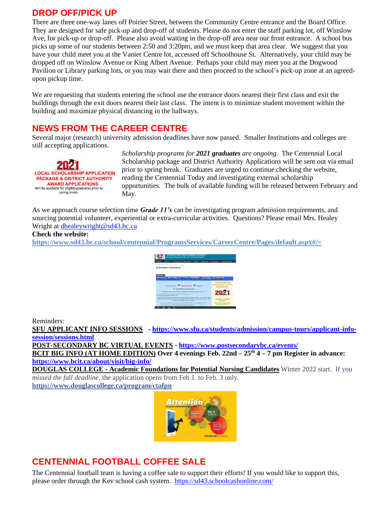## **DROP OFF/PICK UP**

There are three one-way lanes off Poirier Street, between the Community Centre entrance and the Board Office. They are designed for safe pick-up and drop-off of students. Please do not enter the staff parking lot, off Winslow Ave, for pick-up or drop-off. Please also avoid waiting in the drop-off area near our front entrance. A school bus picks up some of our students between 2:50 and 3:20pm, and we must keep that area clear. We suggest that you have your child meet you at the Vanier Centre lot, accessed off Schoolhouse St. Alternatively, your child may be dropped off on Winslow Avenue or King Albert Avenue. Perhaps your child may meet you at the Dogwood Pavilion or Library parking lots, or you may wait there and then proceed to the school's pick-up zone at an agreedupon pickup time.

We are requesting that students entering the school use the entrance doors nearest their first class and exit the buildings through the exit doors nearest their last class. The intent is to minimize student movement within the building and maximize physical distancing in the hallways.

# **NEWS FROM THE CAREER CENTRE**

Several major (research) university admission deadlines have now passed. Smaller Institutions and colleges are still accepting applications.



*Scholarship programs for 2021 graduates are ongoing*. The Centennial Local Scholarship package and District Authority Applications will be sent out via email prior to spring break. Graduates are urged to continue checking the website, reading the Centennial Today and investigating external scholarship opportunities. The bulk of available funding will be released between February and May.

As we approach course selection time *Grade 11's* can be investigating program admission requirements, and sourcing potential volunteer, experiential or extra-curricular activities. Questions? Please email Mrs. Healey Wright at [dhealeywright@sd43.bc.ca](mailto:dhealeywright@sd43.bc.ca)

## **Check the website:**

**<https://www.sd43.bc.ca/school/centennial/ProgramsServices/CareerCentre/Pages/default.aspx#/=>**



Reminders:

**SFU APPLICANT INFO SESSIONS - [https://www.sfu.ca/students/admission/campus-tours/applicant-info](https://www.sfu.ca/students/admission/campus-tours/applicant-info-session/sessions.html)[session/sessions.html](https://www.sfu.ca/students/admission/campus-tours/applicant-info-session/sessions.html)**

**POST-SECONDARY BC VIRTUAL EVENTS - <https://www.postsecondarybc.ca/events/> BCIT BIG INFO (AT HOME EDITION) Over 4 evenings Feb. 22nd – 25th 4 – 7 pm Register in advance:** 

**<https://www.bcit.ca/about/visit/big-info/>**

**DOUGLAS COLLEGE - Academic Foundations for Potential Nursing Candidates** Winter 2022 start. If you *missed the fall deadline*, the application opens from Feb 1. to Feb. 3 only.

**[https://www.douglascollege.ca/program/ctafpn](https://l.facebook.com/l.php?u=https://www.douglascollege.ca/program/ctafpn&h=AT0axtXDQqTOhjAdKy_hiU0IllXJXIP6ateHyL0LXoPJOzDk74hL2VBLibJMuPQXRnWkn7oSwmYa21CDaq14WMxRvnAMh9mJbDPNiZQ8G8lmDYpSTKQyTGS_m9MdkGIrLoXfliYBaNJK3WAZ4W6eyvwmU57FR9Uzfs9TNUVvDiAfUEimfgPSGbEBJHZekFzMRFC7kKH5eHHEfLg5luZAFSSpr7puUAv7_B3vGmmhz5pLqvxQpb4G6QIVyo3DrYjiYXGhR4upssiEMCPDHcbyBTQDppS2k-YiLWqXnj35C3wiKTvFluBL0ieT7boGAiHxFQ0ef_NqLyp7vSic-67WNGLwAKl4hI6PEwx0s8NEPuOHJK0gTjoC-VtlrBFfolkZkUB50ZcFG-5ET3dbTDQEQDMrWh4CBLLzcPEsWU_ZdYcq4bX2UaEVcrYTcaNgRYeZeOfieePywBTinPTBM1V1S8pVz8wVaHhCjFiBh_tLMgKDf1YjoeeHaI2VimCh5Mhq3F0RP5fkRDq7_6aAy0Hn3oDFrsP1tO4HLQ4v7VJmOh9EVjdYDAI0c6RiLYwuBeX-GQuViVRhW9TdYxnDwWA6rzK0zRY5FFt3KH2g)**



# **CENTENNIAL FOOTBALL COFFEE SALE**

The Centennial football team is having a coffee sale to support their efforts! If you would like to support this, please order through the Kev school cash system. <https://sd43.schoolcashonline.com/>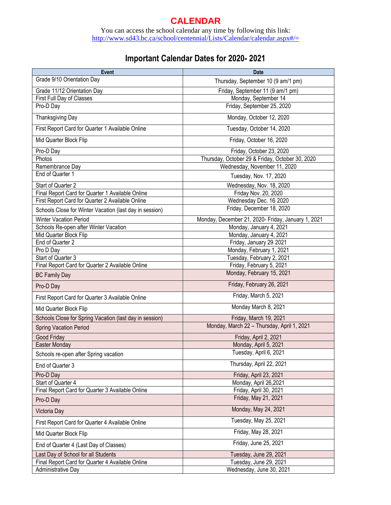# **CALENDAR**

You can access the school calendar any time by following this link: <http://www.sd43.bc.ca/school/centennial/Lists/Calendar/calendar.aspx#/=>

# **Important Calendar Dates for 2020- 2021**

| <b>Event</b>                                            | <b>Date</b>                                        |
|---------------------------------------------------------|----------------------------------------------------|
| Grade 9/10 Orientation Day                              | Thursday, September 10 (9 am/1 pm)                 |
| Grade 11/12 Orientation Day                             | Friday, September 11 (9 am/1 pm)                   |
| First Full Day of Classes                               | Monday, September 14                               |
| Pro-D Day                                               | Friday, September 25, 2020                         |
| Thanksgiving Day                                        | Monday, October 12, 2020                           |
| First Report Card for Quarter 1 Available Online        | Tuesday, October 14, 2020                          |
| Mid Quarter Block Flip                                  | Friday, October 16, 2020                           |
| Pro-D Day                                               | Friday, October 23, 2020                           |
| Photos                                                  | Thursday, October 29 & Friday, October 30, 2020    |
| Remembrance Day                                         | Wednesday, November 11, 2020                       |
| End of Quarter 1                                        | Tuesday, Nov. 17, 2020                             |
| Start of Quarter 2                                      | Wednesday, Nov. 18, 2020                           |
| Final Report Card for Quarter 1 Available Online        | Friday Nov. 20, 2020                               |
| First Report Card for Quarter 2 Available Online        | Wednesday Dec. 16 2020                             |
| Schools Close for Winter Vacation (last day in session) | Friday, December 18, 2020                          |
| <b>Winter Vacation Period</b>                           | Monday, December 21, 2020- Friday, January 1, 2021 |
| Schools Re-open after Winter Vacation                   | Monday, January 4, 2021                            |
| Mid Quarter Block Flip                                  | Monday, January 4, 2021                            |
| End of Quarter 2                                        | Friday, January 29, 2021                           |
| Pro D Day                                               | Monday, February 1, 2021                           |
| Start of Quarter 3                                      | Tuesday, February 2, 2021                          |
| Final Report Card for Quarter 2 Available Online        | Friday, February 5, 2021                           |
| <b>BC Family Day</b>                                    | Monday, February 15, 2021                          |
| Pro-D Day                                               | Friday, February 26, 2021                          |
| First Report Card for Quarter 3 Available Online        | Friday, March 5, 2021                              |
| Mid Quarter Block Flip                                  | Monday March 8, 2021                               |
| Schools Close for Spring Vacation (last day in session) | Friday, March 19, 2021                             |
| <b>Spring Vacation Period</b>                           | Monday, March 22 - Thursday, April 1, 2021         |
| Good Friday                                             | Friday, April 2, 2021                              |
| Easter Monday                                           | Monday, April 5, 2021                              |
| Schools re-open after Spring vacation                   | Tuesday, April 6, 2021                             |
| End of Quarter 3                                        | Thursday, April 22, 2021                           |
| Pro-D Day                                               | Friday, April 23, 2021                             |
| Start of Quarter 4                                      | Monday, April 26,2021                              |
| Final Report Card for Quarter 3 Available Online        | Friday, April 30, 2021                             |
| Pro-D Day                                               | Friday, May 21, 2021                               |
| Victoria Day                                            | Monday, May 24, 2021                               |
| First Report Card for Quarter 4 Available Online        | Tuesday, May 25, 2021                              |
| Mid Quarter Block Flip                                  | Friday, May 28, 2021                               |
| End of Quarter 4 (Last Day of Classes)                  | Friday, June 25, 2021                              |
| Last Day of School for all Students                     | Tuesday, June 29, 2021                             |
| Final Report Card for Quarter 4 Available Online        | Tuesday, June 29, 2021                             |
| Administrative Day                                      | Wednesday, June 30, 2021                           |